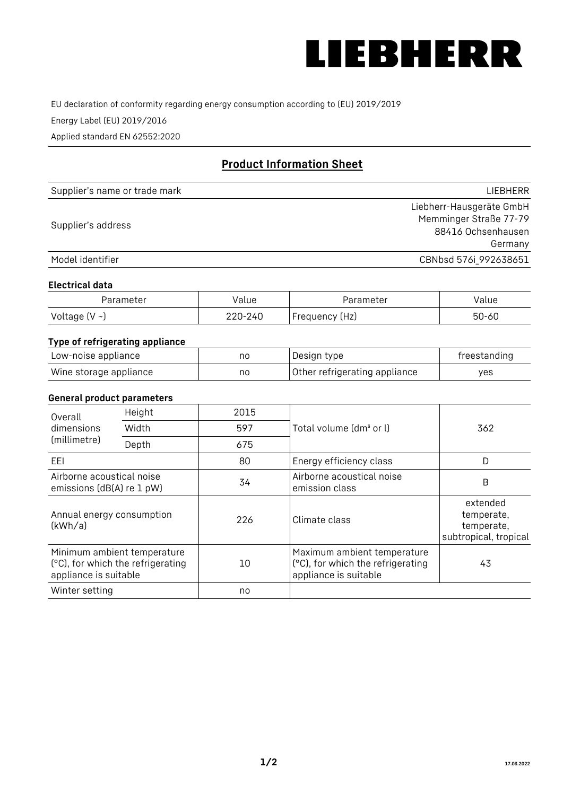

EU declaration of conformity regarding energy consumption according to (EU) 2019/2019

Energy Label (EU) 2019/2016

Applied standard EN 62552:2020

# **Product Information Sheet**

| Supplier's name or trade mark | LIEBHERR                 |
|-------------------------------|--------------------------|
|                               | Liebherr-Hausgeräte GmbH |
| Supplier's address            | Memminger Straße 77-79   |
|                               | 88416 Ochsenhausen       |
|                               | Germany                  |
| Model identifier              | CBNbsd 576i_992638651    |

#### **Electrical data**

| Parameter           | Value   | Parameter      | alue/     |
|---------------------|---------|----------------|-----------|
| Voltage (V $\sim$ ) | 220-240 | Frequency (Hz) | $50 - 60$ |

## **Type of refrigerating appliance**

| Low-noise appliance    | nc | Design type                   | freestanding |
|------------------------|----|-------------------------------|--------------|
| Wine storage appliance | nc | Other refrigerating appliance | ves          |

#### **General product parameters**

| Overall<br>dimensions<br>(millimetre)                  | Height                            | 2015 |                                                                                           | 362                                                           |
|--------------------------------------------------------|-----------------------------------|------|-------------------------------------------------------------------------------------------|---------------------------------------------------------------|
|                                                        | Width                             | 597  | Total volume (dm <sup>3</sup> or l)                                                       |                                                               |
|                                                        | Depth                             | 675  |                                                                                           |                                                               |
| EEL                                                    |                                   | 80   | Energy efficiency class                                                                   | D                                                             |
| Airborne acoustical noise<br>emissions (dB(A) re 1 pW) |                                   | 34   | Airborne acoustical noise<br>emission class                                               | B                                                             |
| Annual energy consumption<br>(kWh/a)                   |                                   | 226  | Climate class                                                                             | extended<br>temperate,<br>temperate,<br>subtropical, tropical |
| Minimum ambient temperature<br>appliance is suitable   | (°C), for which the refrigerating | 10   | Maximum ambient temperature<br>(°C), for which the refrigerating<br>appliance is suitable | 43                                                            |
| Winter setting                                         |                                   | no   |                                                                                           |                                                               |